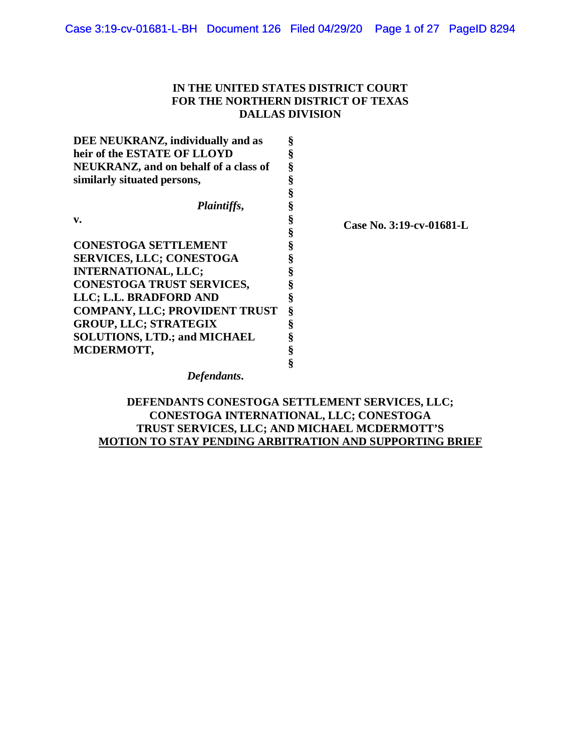## **IN THE UNITED STATES DISTRICT COURT FOR THE NORTHERN DISTRICT OF TEXAS DALLAS DIVISION**

| DEE NEUKRANZ, individually and as     |   |                          |
|---------------------------------------|---|--------------------------|
| heir of the ESTATE OF LLOYD           |   |                          |
| NEUKRANZ, and on behalf of a class of |   |                          |
| similarly situated persons,           | ş |                          |
|                                       |   |                          |
| Plaintiffs,                           |   |                          |
| v.                                    | § | Case No. 3:19-cv-01681-L |
|                                       |   |                          |
| <b>CONESTOGA SETTLEMENT</b>           |   |                          |
| <b>SERVICES, LLC; CONESTOGA</b>       |   |                          |
| <b>INTERNATIONAL, LLC;</b>            |   |                          |
| <b>CONESTOGA TRUST SERVICES,</b>      |   |                          |
| LLC; L.L. BRADFORD AND                |   |                          |
| <b>COMPANY, LLC; PROVIDENT TRUST</b>  | Ş |                          |
| <b>GROUP, LLC; STRATEGIX</b>          | ş |                          |
| <b>SOLUTIONS, LTD.; and MICHAEL</b>   |   |                          |
| MCDERMOTT,                            |   |                          |
|                                       |   |                          |

*Defendants***.**

## **DEFENDANTS CONESTOGA SETTLEMENT SERVICES, LLC; CONESTOGA INTERNATIONAL, LLC; CONESTOGA TRUST SERVICES, LLC; AND MICHAEL MCDERMOTT'S MOTION TO STAY PENDING ARBITRATION AND SUPPORTING BRIEF**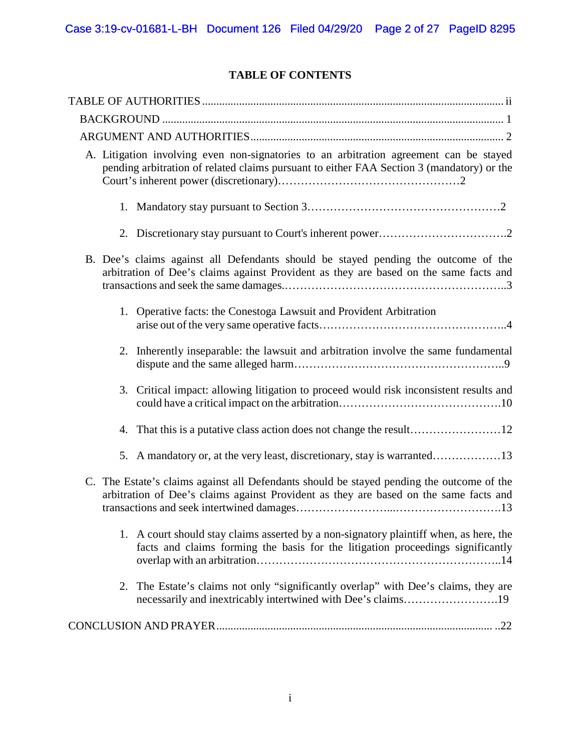# **TABLE OF CONTENTS**

| A. Litigation involving even non-signatories to an arbitration agreement can be stayed<br>pending arbitration of related claims pursuant to either FAA Section 3 (mandatory) or the |
|-------------------------------------------------------------------------------------------------------------------------------------------------------------------------------------|
|                                                                                                                                                                                     |
|                                                                                                                                                                                     |
| B. Dee's claims against all Defendants should be stayed pending the outcome of the<br>arbitration of Dee's claims against Provident as they are based on the same facts and         |
| 1. Operative facts: the Conestoga Lawsuit and Provident Arbitration                                                                                                                 |
| 2. Inherently inseparable: the lawsuit and arbitration involve the same fundamental                                                                                                 |
| 3. Critical impact: allowing litigation to proceed would risk inconsistent results and                                                                                              |
| 4.                                                                                                                                                                                  |
|                                                                                                                                                                                     |
| C. The Estate's claims against all Defendants should be stayed pending the outcome of the<br>arbitration of Dee's claims against Provident as they are based on the same facts and  |
| 1. A court should stay claims asserted by a non-signatory plaintiff when, as here, the<br>facts and claims forming the basis for the litigation proceedings significantly           |
| 2. The Estate's claims not only "significantly overlap" with Dee's claims, they are<br>necessarily and inextricably intertwined with Dee's claims19                                 |
|                                                                                                                                                                                     |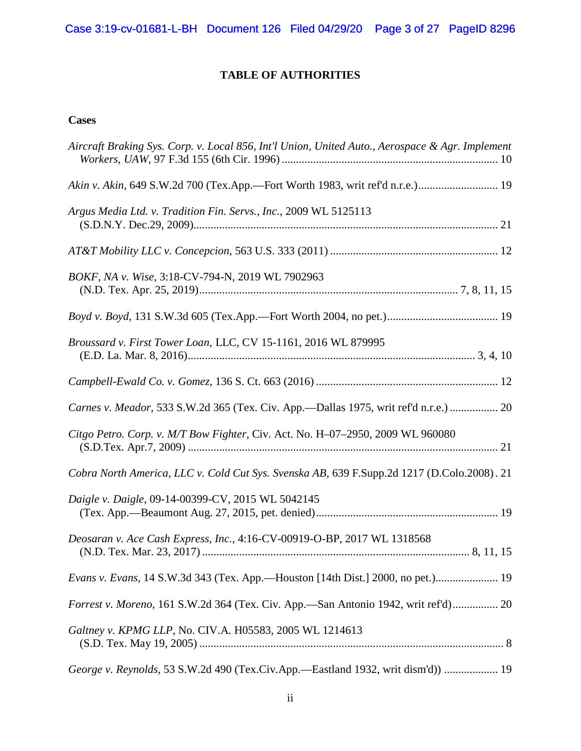## **TABLE OF AUTHORITIES**

## **Cases**

| Aircraft Braking Sys. Corp. v. Local 856, Int'l Union, United Auto., Aerospace & Agr. Implement |
|-------------------------------------------------------------------------------------------------|
|                                                                                                 |
| Argus Media Ltd. v. Tradition Fin. Servs., Inc., 2009 WL 5125113                                |
|                                                                                                 |
| BOKF, NA v. Wise, 3:18-CV-794-N, 2019 WL 7902963                                                |
|                                                                                                 |
| Broussard v. First Tower Loan, LLC, CV 15-1161, 2016 WL 879995                                  |
|                                                                                                 |
| Carnes v. Meador, 533 S.W.2d 365 (Tex. Civ. App.-Dallas 1975, writ ref'd n.r.e.)  20            |
| Citgo Petro. Corp. v. M/T Bow Fighter, Civ. Act. No. H-07-2950, 2009 WL 960080                  |
| Cobra North America, LLC v. Cold Cut Sys. Svenska AB, 639 F.Supp.2d 1217 (D.Colo.2008). 21      |
| Daigle v. Daigle, 09-14-00399-CV, 2015 WL 5042145                                               |
| Deosaran v. Ace Cash Express, Inc., 4:16-CV-00919-O-BP, 2017 WL 1318568                         |
| Evans v. Evans, 14 S.W.3d 343 (Tex. App.—Houston [14th Dist.] 2000, no pet.) 19                 |
| Forrest v. Moreno, 161 S.W.2d 364 (Tex. Civ. App.—San Antonio 1942, writ ref'd) 20              |
| Galtney v. KPMG LLP, No. CIV.A. H05583, 2005 WL 1214613                                         |
| George v. Reynolds, 53 S.W.2d 490 (Tex.Civ.App.—Eastland 1932, writ dism'd))  19                |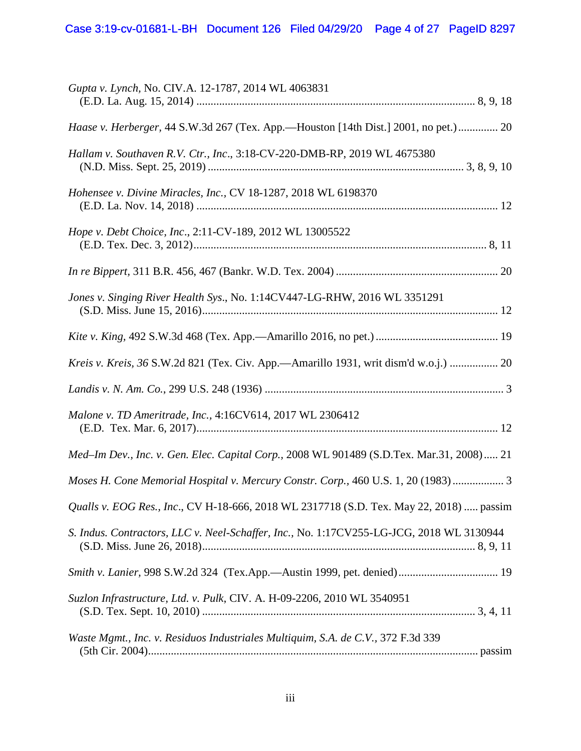| Gupta v. Lynch, No. CIV.A. 12-1787, 2014 WL 4063831                                      |
|------------------------------------------------------------------------------------------|
| Haase v. Herberger, 44 S.W.3d 267 (Tex. App.—Houston [14th Dist.] 2001, no pet.) 20      |
| Hallam v. Southaven R.V. Ctr., Inc., 3:18-CV-220-DMB-RP, 2019 WL 4675380                 |
| Hohensee v. Divine Miracles, Inc., CV 18-1287, 2018 WL 6198370                           |
| Hope v. Debt Choice, Inc., 2:11-CV-189, 2012 WL 13005522                                 |
|                                                                                          |
| Jones v. Singing River Health Sys., No. 1:14CV447-LG-RHW, 2016 WL 3351291                |
|                                                                                          |
| Kreis v. Kreis, 36 S.W.2d 821 (Tex. Civ. App.- Amarillo 1931, writ dism'd w.o.j.)  20    |
|                                                                                          |
| Malone v. TD Ameritrade, Inc., 4:16CV614, 2017 WL 2306412                                |
| Med-Im Dev., Inc. v. Gen. Elec. Capital Corp., 2008 WL 901489 (S.D.Tex. Mar.31, 2008) 21 |
| Moses H. Cone Memorial Hospital v. Mercury Constr. Corp., 460 U.S. 1, 20 (1983)  3       |
| Qualls v. EOG Res., Inc., CV H-18-666, 2018 WL 2317718 (S.D. Tex. May 22, 2018)  passim  |
| S. Indus. Contractors, LLC v. Neel-Schaffer, Inc., No. 1:17CV255-LG-JCG, 2018 WL 3130944 |
|                                                                                          |
| Suzlon Infrastructure, Ltd. v. Pulk, CIV. A. H-09-2206, 2010 WL 3540951                  |
| Waste Mgmt., Inc. v. Residuos Industriales Multiquim, S.A. de C.V., 372 F.3d 339         |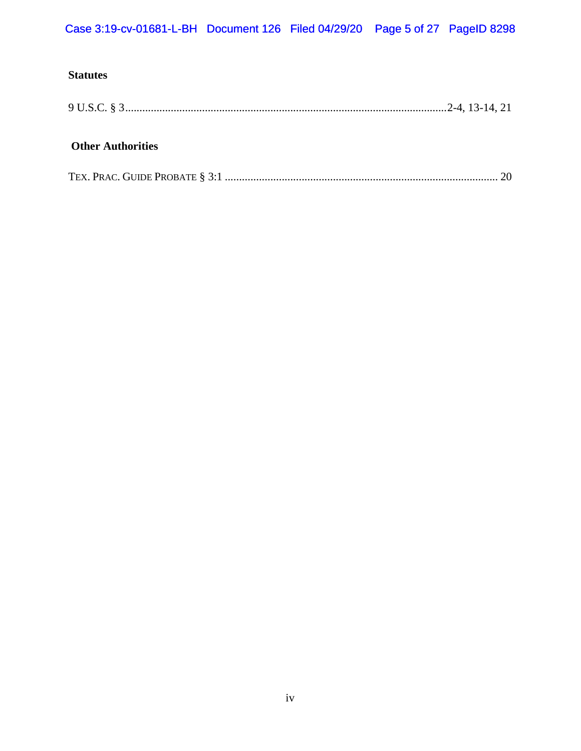## **Statutes**

## **Other Authorities**

|--|--|--|--|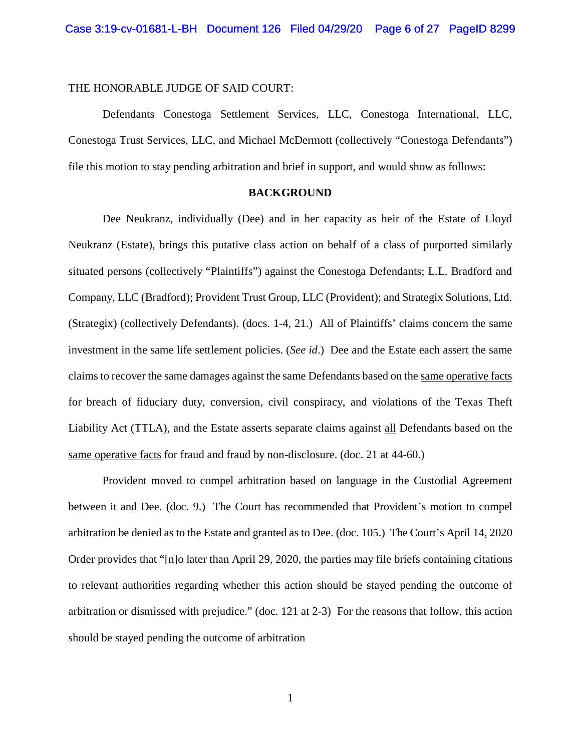#### THE HONORABLE JUDGE OF SAID COURT:

Defendants Conestoga Settlement Services, LLC, Conestoga International, LLC, Conestoga Trust Services, LLC, and Michael McDermott (collectively "Conestoga Defendants") file this motion to stay pending arbitration and brief in support, and would show as follows:

#### **BACKGROUND**

Dee Neukranz, individually (Dee) and in her capacity as heir of the Estate of Lloyd Neukranz (Estate), brings this putative class action on behalf of a class of purported similarly situated persons (collectively "Plaintiffs") against the Conestoga Defendants; L.L. Bradford and Company, LLC (Bradford); Provident Trust Group, LLC (Provident); and Strategix Solutions, Ltd. (Strategix) (collectively Defendants). (docs. 1-4, 21.) All of Plaintiffs' claims concern the same investment in the same life settlement policies. (*See id*.) Dee and the Estate each assert the same claims to recover the same damages against the same Defendants based on the same operative facts for breach of fiduciary duty, conversion, civil conspiracy, and violations of the Texas Theft Liability Act (TTLA), and the Estate asserts separate claims against all Defendants based on the same operative facts for fraud and fraud by non-disclosure. (doc. 21 at 44-60.)

Provident moved to compel arbitration based on language in the Custodial Agreement between it and Dee. (doc. 9.) The Court has recommended that Provident's motion to compel arbitration be denied as to the Estate and granted as to Dee. (doc. 105.) The Court's April 14, 2020 Order provides that "[n]o later than April 29, 2020, the parties may file briefs containing citations to relevant authorities regarding whether this action should be stayed pending the outcome of arbitration or dismissed with prejudice." (doc. 121 at 2-3) For the reasons that follow, this action should be stayed pending the outcome of arbitration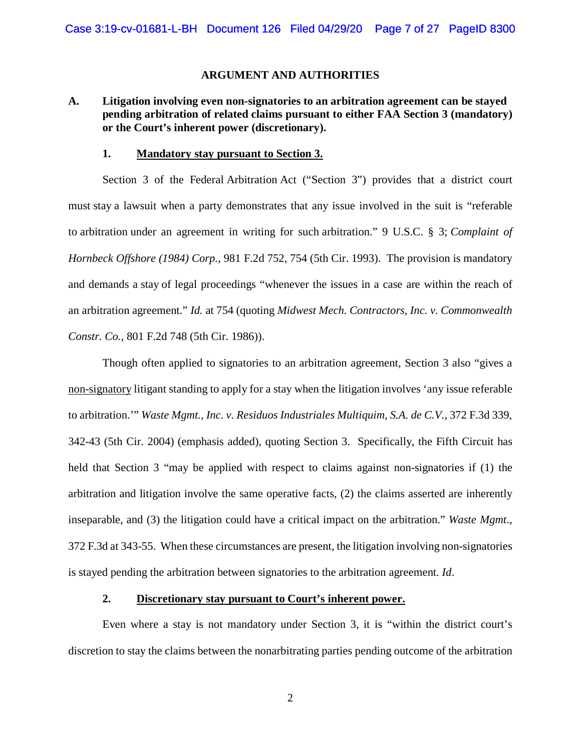#### **ARGUMENT AND AUTHORITIES**

## **A. Litigation involving even non-signatories to an arbitration agreement can be stayed pending arbitration of related claims pursuant to either FAA Section 3 (mandatory) or the Court's inherent power (discretionary).**

#### **1. Mandatory stay pursuant to Section 3.**

Section 3 of the Federal Arbitration Act ("Section 3") provides that a district court must stay a lawsuit when a party demonstrates that any issue involved in the suit is "referable to arbitration under an agreement in writing for such arbitration." 9 U.S.C. § 3; *Complaint of Hornbeck Offshore (1984) Corp.*, 981 F.2d 752, 754 (5th Cir. 1993). The provision is mandatory and demands a stay of legal proceedings "whenever the issues in a case are within the reach of an arbitration agreement." *Id.* at 754 (quoting *Midwest Mech. Contractors, Inc. v. Commonwealth Constr. Co.*, 801 F.2d 748 (5th Cir. 1986)).

Though often applied to signatories to an arbitration agreement, Section 3 also "gives a non-signatory litigant standing to apply for a stay when the litigation involves 'any issue referable to arbitration." *Waste Mgmt., Inc. v. Residuos Industriales Multiquim, S.A. de C.V., 372 F.3d 339,* 342-43 (5th Cir. 2004) (emphasis added), quoting Section 3. Specifically, the Fifth Circuit has held that Section 3 "may be applied with respect to claims against non-signatories if (1) the arbitration and litigation involve the same operative facts, (2) the claims asserted are inherently inseparable, and (3) the litigation could have a critical impact on the arbitration." *Waste Mgmt*., 372 F.3d at 343-55. When these circumstances are present, the litigation involving non-signatories is stayed pending the arbitration between signatories to the arbitration agreement. *Id*.

## **2. Discretionary stay pursuant to Court's inherent power.**

Even where a stay is not mandatory under Section 3, it is "within the district court's discretion to stay the claims between the nonarbitrating parties pending outcome of the arbitration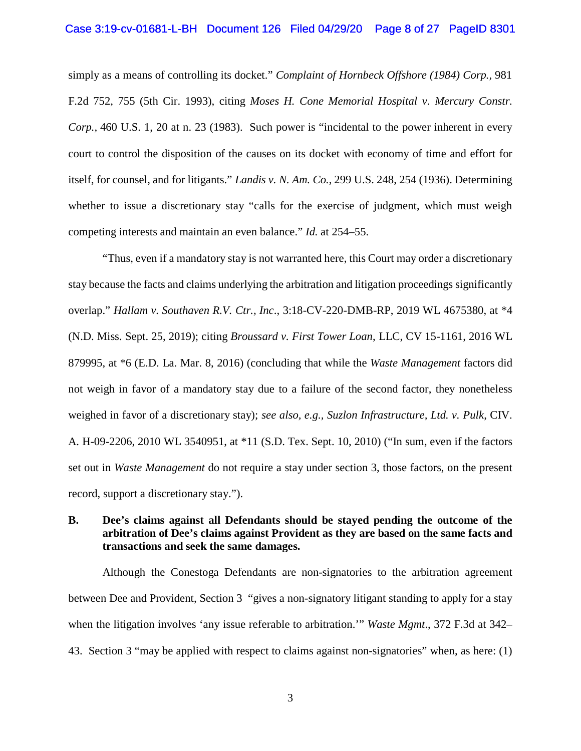#### Case 3:19-cv-01681-L-BH Document 126 Filed 04/29/20 Page 8 of 27 PageID 8301

simply as a means of controlling its docket." *Complaint of Hornbeck Offshore (1984) Corp.,* 981 F.2d 752, 755 (5th Cir. 1993), citing *Moses H. Cone Memorial Hospital v. Mercury Constr. Corp.,* 460 U.S. 1, 20 at n. 23 (1983). Such power is "incidental to the power inherent in every court to control the disposition of the causes on its docket with economy of time and effort for itself, for counsel, and for litigants." *Landis v. N. Am. Co.*, 299 U.S. 248, 254 (1936). Determining whether to issue a discretionary stay "calls for the exercise of judgment, which must weigh competing interests and maintain an even balance." *Id.* at 254–55.

"Thus, even if a mandatory stay is not warranted here, this Court may order a discretionary stay because the facts and claims underlying the arbitration and litigation proceedings significantly overlap." *Hallam v. Southaven R.V. Ctr., Inc*., 3:18-CV-220-DMB-RP, 2019 WL 4675380, at \*4 (N.D. Miss. Sept. 25, 2019); citing *Broussard v. First Tower Loan*, LLC, CV 15-1161, 2016 WL 879995, at \*6 (E.D. La. Mar. 8, 2016) (concluding that while the *Waste Management* factors did not weigh in favor of a mandatory stay due to a failure of the second factor, they nonetheless weighed in favor of a discretionary stay); *see also, e.g., Suzlon Infrastructure, Ltd. v. Pulk*, CIV. A. H-09-2206, 2010 WL 3540951, at \*11 (S.D. Tex. Sept. 10, 2010) ("In sum, even if the factors set out in *Waste Management* do not require a stay under section 3, those factors, on the present record, support a discretionary stay.").

## **B. Dee's claims against all Defendants should be stayed pending the outcome of the arbitration of Dee's claims against Provident as they are based on the same facts and transactions and seek the same damages.**

Although the Conestoga Defendants are non-signatories to the arbitration agreement between Dee and Provident, Section 3 "gives a non-signatory litigant standing to apply for a stay when the litigation involves 'any issue referable to arbitration.'" *Waste Mgmt*., 372 F.3d at 342– 43. Section 3 "may be applied with respect to claims against non-signatories" when, as here: (1)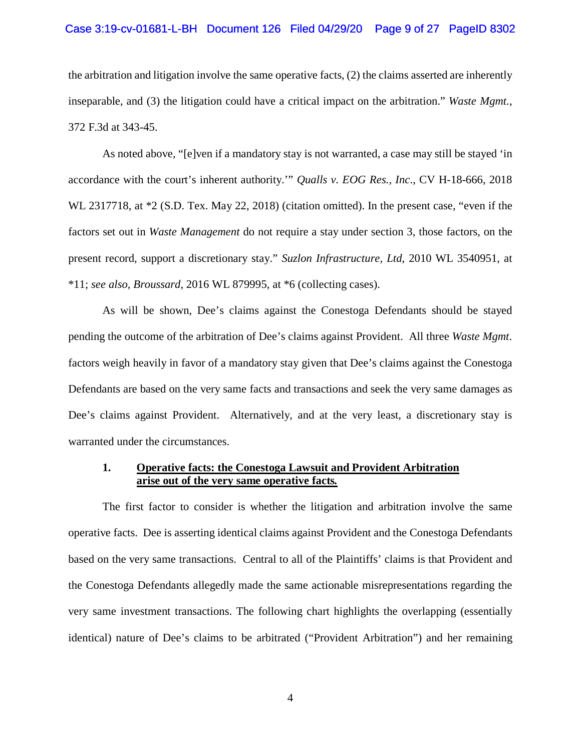#### Case 3:19-cv-01681-L-BH Document 126 Filed 04/29/20 Page 9 of 27 PageID 8302

the arbitration and litigation involve the same operative facts, (2) the claims asserted are inherently inseparable, and (3) the litigation could have a critical impact on the arbitration." *Waste Mgmt.*, 372 F.3d at 343-45.

As noted above, "[e]ven if a mandatory stay is not warranted, a case may still be stayed 'in accordance with the court's inherent authority.'" *Qualls v. EOG Res., Inc*., CV H-18-666, 2018 WL 2317718, at \*2 (S.D. Tex. May 22, 2018) (citation omitted). In the present case, "even if the factors set out in *Waste Management* do not require a stay under section 3, those factors, on the present record, support a discretionary stay." *Suzlon Infrastructure, Ltd*, 2010 WL 3540951, at \*11; *see also, Broussard*, 2016 WL 879995, at \*6 (collecting cases).

As will be shown, Dee's claims against the Conestoga Defendants should be stayed pending the outcome of the arbitration of Dee's claims against Provident. All three *Waste Mgmt*. factors weigh heavily in favor of a mandatory stay given that Dee's claims against the Conestoga Defendants are based on the very same facts and transactions and seek the very same damages as Dee's claims against Provident. Alternatively, and at the very least, a discretionary stay is warranted under the circumstances.

## **1. Operative facts: the Conestoga Lawsuit and Provident Arbitration arise out of the very same operative facts***.*

The first factor to consider is whether the litigation and arbitration involve the same operative facts. Dee is asserting identical claims against Provident and the Conestoga Defendants based on the very same transactions. Central to all of the Plaintiffs' claims is that Provident and the Conestoga Defendants allegedly made the same actionable misrepresentations regarding the very same investment transactions. The following chart highlights the overlapping (essentially identical) nature of Dee's claims to be arbitrated ("Provident Arbitration") and her remaining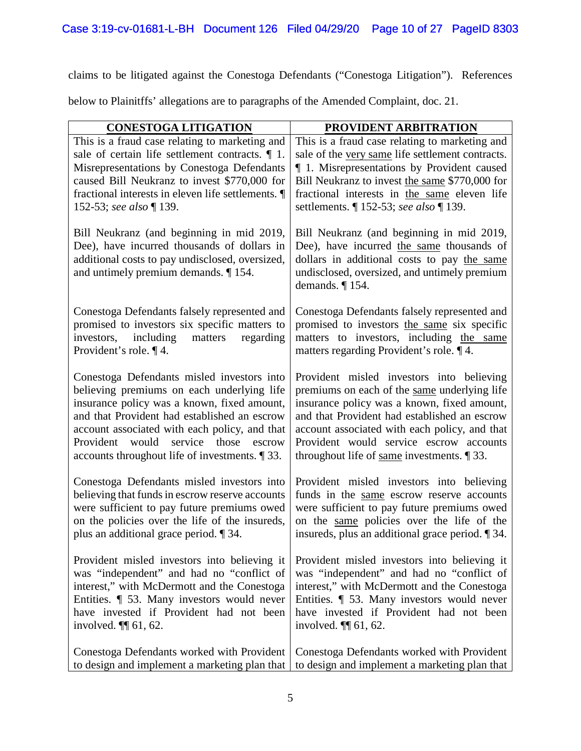claims to be litigated against the Conestoga Defendants ("Conestoga Litigation"). References below to Plainitffs' allegations are to paragraphs of the Amended Complaint, doc. 21.

| <b>CONESTOGA LITIGATION</b>                                                                                                                                                                                                                                                                                                             | <b>PROVIDENT ARBITRATION</b>                                                                                                                                                                                                                                                                                                          |
|-----------------------------------------------------------------------------------------------------------------------------------------------------------------------------------------------------------------------------------------------------------------------------------------------------------------------------------------|---------------------------------------------------------------------------------------------------------------------------------------------------------------------------------------------------------------------------------------------------------------------------------------------------------------------------------------|
| This is a fraud case relating to marketing and<br>sale of certain life settlement contracts. $\P$ 1.<br>Misrepresentations by Conestoga Defendants<br>caused Bill Neukranz to invest \$770,000 for<br>fractional interests in eleven life settlements.<br>152-53; see also ¶ 139.                                                       | This is a fraud case relating to marketing and<br>sale of the very same life settlement contracts.<br>1. Misrepresentations by Provident caused<br>Bill Neukranz to invest the same \$770,000 for<br>fractional interests in the same eleven life<br>settlements. $\P$ 152-53; see also $\P$ 139.                                     |
| Bill Neukranz (and beginning in mid 2019,<br>Dee), have incurred thousands of dollars in<br>additional costs to pay undisclosed, oversized,<br>and untimely premium demands. $\P$ 154.                                                                                                                                                  | Bill Neukranz (and beginning in mid 2019,<br>Dee), have incurred the same thousands of<br>dollars in additional costs to pay the same<br>undisclosed, oversized, and untimely premium<br>demands. $\P$ 154.                                                                                                                           |
| Conestoga Defendants falsely represented and<br>promised to investors six specific matters to<br>matters<br>investors,<br>including<br>regarding<br>Provident's role. $\P$ 4.                                                                                                                                                           | Conestoga Defendants falsely represented and<br>promised to investors the same six specific<br>matters to investors, including the same<br>matters regarding Provident's role. 14.                                                                                                                                                    |
| Conestoga Defendants misled investors into<br>believing premiums on each underlying life<br>insurance policy was a known, fixed amount,<br>and that Provident had established an escrow<br>account associated with each policy, and that<br>Provident would<br>service those<br>escrow<br>accounts throughout life of investments. 133. | Provident misled investors into believing<br>premiums on each of the same underlying life<br>insurance policy was a known, fixed amount,<br>and that Provident had established an escrow<br>account associated with each policy, and that<br>Provident would service escrow accounts<br>throughout life of same investments. $\P$ 33. |
| Conestoga Defendants misled investors into<br>believing that funds in escrow reserve accounts<br>were sufficient to pay future premiums owed<br>on the policies over the life of the insureds,<br>plus an additional grace period. 1 34.                                                                                                | Provident misled investors into believing<br>funds in the same escrow reserve accounts<br>were sufficient to pay future premiums owed<br>on the same policies over the life of the<br>insureds, plus an additional grace period. 1 34.                                                                                                |
| Provident misled investors into believing it<br>was "independent" and had no "conflict of<br>interest," with McDermott and the Conestoga<br>Entities. $\P$ 53. Many investors would never<br>have invested if Provident had not been<br>involved. $\P$ 61, 62.                                                                          | Provident misled investors into believing it<br>was "independent" and had no "conflict of<br>interest," with McDermott and the Conestoga<br>Entities. $\parallel$ 53. Many investors would never<br>have invested if Provident had not been<br>involved. $\P$ 61, 62.                                                                 |
| Conestoga Defendants worked with Provident<br>to design and implement a marketing plan that                                                                                                                                                                                                                                             | Conestoga Defendants worked with Provident<br>to design and implement a marketing plan that                                                                                                                                                                                                                                           |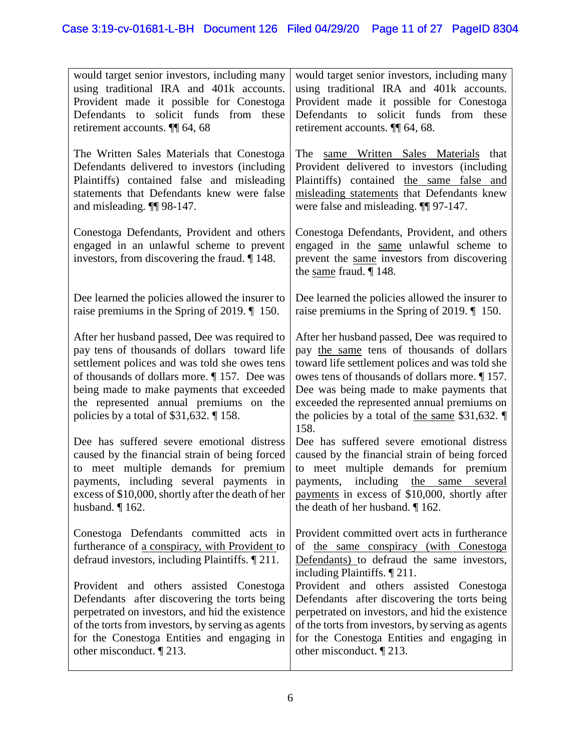| would target senior investors, including many<br>using traditional IRA and 401k accounts.<br>Provident made it possible for Conestoga<br>Defendants to solicit funds from<br>these<br>retirement accounts. ¶ 64, 68                                                                                                                                                                                                                                                                                                                                                        | would target senior investors, including many<br>using traditional IRA and 401k accounts.<br>Provident made it possible for Conestoga<br>Defendants to solicit funds from these<br>retirement accounts. $\P$ 64, 68.                                                                                                                                                                                                                                                                                                                                                                    |
|----------------------------------------------------------------------------------------------------------------------------------------------------------------------------------------------------------------------------------------------------------------------------------------------------------------------------------------------------------------------------------------------------------------------------------------------------------------------------------------------------------------------------------------------------------------------------|-----------------------------------------------------------------------------------------------------------------------------------------------------------------------------------------------------------------------------------------------------------------------------------------------------------------------------------------------------------------------------------------------------------------------------------------------------------------------------------------------------------------------------------------------------------------------------------------|
| The Written Sales Materials that Conestoga<br>Defendants delivered to investors (including<br>Plaintiffs) contained false and misleading<br>statements that Defendants knew were false<br>and misleading. $\P$ 98-147.                                                                                                                                                                                                                                                                                                                                                     | same Written Sales Materials<br>The<br>that<br>Provident delivered to investors (including<br>Plaintiffs) contained the same false and<br>misleading statements that Defendants knew<br>were false and misleading. $\P$ 97-147.                                                                                                                                                                                                                                                                                                                                                         |
| Conestoga Defendants, Provident and others<br>engaged in an unlawful scheme to prevent<br>investors, from discovering the fraud. $\P$ 148.                                                                                                                                                                                                                                                                                                                                                                                                                                 | Conestoga Defendants, Provident, and others<br>engaged in the same unlawful scheme to<br>prevent the same investors from discovering<br>the <u>same</u> fraud. $\P$ 148.                                                                                                                                                                                                                                                                                                                                                                                                                |
| Dee learned the policies allowed the insurer to<br>raise premiums in the Spring of 2019. $\llbracket$ 150.                                                                                                                                                                                                                                                                                                                                                                                                                                                                 | Dee learned the policies allowed the insurer to<br>raise premiums in the Spring of 2019. $\P$ 150.                                                                                                                                                                                                                                                                                                                                                                                                                                                                                      |
| After her husband passed, Dee was required to<br>pay tens of thousands of dollars toward life<br>settlement polices and was told she owes tens<br>of thousands of dollars more. 157. Dee was<br>being made to make payments that exceeded<br>the represented annual premiums on the<br>policies by a total of \$31,632. $\P$ 158.<br>Dee has suffered severe emotional distress<br>caused by the financial strain of being forced<br>to meet multiple demands for premium<br>payments, including several payments in<br>excess of \$10,000, shortly after the death of her | After her husband passed, Dee was required to<br>pay the same tens of thousands of dollars<br>toward life settlement polices and was told she<br>owes tens of thousands of dollars more. [157.]<br>Dee was being made to make payments that<br>exceeded the represented annual premiums on<br>the policies by a total of the same \$31,632.<br>158.<br>Dee has suffered severe emotional distress<br>caused by the financial strain of being forced<br>to meet multiple demands for premium<br>payments, including the same<br>several<br>payments in excess of \$10,000, shortly after |
| husband. $\P$ 162.                                                                                                                                                                                                                                                                                                                                                                                                                                                                                                                                                         | the death of her husband. $\P$ 162.                                                                                                                                                                                                                                                                                                                                                                                                                                                                                                                                                     |
| Conestoga Defendants committed acts in<br>furtherance of a conspiracy, with Provident to<br>defraud investors, including Plaintiffs. 1211.                                                                                                                                                                                                                                                                                                                                                                                                                                 | Provident committed overt acts in furtherance<br>of the same conspiracy (with Conestoga<br>Defendants) to defraud the same investors,<br>including Plaintiffs. $\P$ 211.                                                                                                                                                                                                                                                                                                                                                                                                                |
| Provident and others assisted Conestoga<br>Defendants after discovering the torts being<br>perpetrated on investors, and hid the existence<br>of the torts from investors, by serving as agents<br>for the Conestoga Entities and engaging in<br>other misconduct. $\P$ 213.                                                                                                                                                                                                                                                                                               | Provident and others assisted Conestoga<br>Defendants after discovering the torts being<br>perpetrated on investors, and hid the existence<br>of the torts from investors, by serving as agents<br>for the Conestoga Entities and engaging in<br>other misconduct. $\P$ 213.                                                                                                                                                                                                                                                                                                            |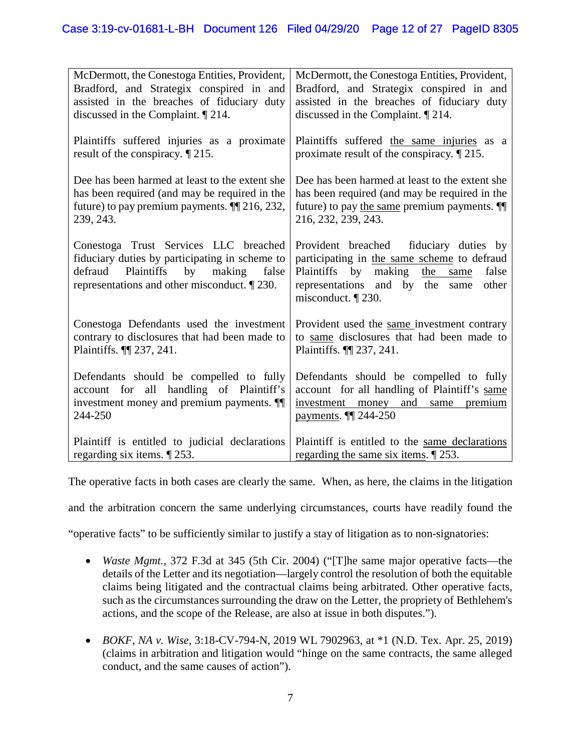| McDermott, the Conestoga Entities, Provident,                                                                                                                                                     | McDermott, the Conestoga Entities, Provident,                                                                                                                                                                 |
|---------------------------------------------------------------------------------------------------------------------------------------------------------------------------------------------------|---------------------------------------------------------------------------------------------------------------------------------------------------------------------------------------------------------------|
| Bradford, and Strategix conspired in and                                                                                                                                                          | Bradford, and Strategix conspired in and                                                                                                                                                                      |
| assisted in the breaches of fiduciary duty                                                                                                                                                        | assisted in the breaches of fiduciary duty                                                                                                                                                                    |
| discussed in the Complaint. $\P$ 214.                                                                                                                                                             | discussed in the Complaint. $\P$ 214.                                                                                                                                                                         |
| Plaintiffs suffered injuries as a proximate                                                                                                                                                       | Plaintiffs suffered the same injuries as a                                                                                                                                                                    |
| result of the conspiracy. $\P$ 215.                                                                                                                                                               | proximate result of the conspiracy. $\llbracket 215$ .                                                                                                                                                        |
| Dee has been harmed at least to the extent she                                                                                                                                                    | Dee has been harmed at least to the extent she                                                                                                                                                                |
| has been required (and may be required in the                                                                                                                                                     | has been required (and may be required in the                                                                                                                                                                 |
| future) to pay premium payments. $\P$ [216, 232,                                                                                                                                                  | future) to pay the same premium payments.                                                                                                                                                                     |
| 239, 243.                                                                                                                                                                                         | 216, 232, 239, 243.                                                                                                                                                                                           |
| Conestoga Trust Services LLC breached<br>fiduciary duties by participating in scheme to<br>Plaintiffs<br>defraud<br>by making<br>false<br>representations and other misconduct. $\llbracket 230.$ | Provident breached fiduciary duties by<br>participating in the same scheme to defraud<br>Plaintiffs by making<br>false<br>the<br>same<br>representations and by the<br>other<br>same<br>misconduct. $\P$ 230. |
| Conestoga Defendants used the investment                                                                                                                                                          | Provident used the same investment contrary                                                                                                                                                                   |
| contrary to disclosures that had been made to                                                                                                                                                     | to same disclosures that had been made to                                                                                                                                                                     |
| Plaintiffs. <b>11</b> 237, 241.                                                                                                                                                                   | Plaintiffs. <sup>11</sup> 237, 241.                                                                                                                                                                           |
| Defendants should be compelled to fully<br>account for all handling of Plaintiff's<br>investment money and premium payments.<br>244-250                                                           | Defendants should be compelled to fully<br>account for all handling of Plaintiff's same<br>investment money and same<br>premium<br>payments. <b>11</b> 244-250                                                |
| Plaintiff is entitled to judicial declarations                                                                                                                                                    | Plaintiff is entitled to the same declarations                                                                                                                                                                |
| regarding six items. $\sqrt{253}$ .                                                                                                                                                               | regarding the same six items. $\sqrt{\ }$ 253.                                                                                                                                                                |

The operative facts in both cases are clearly the same. When, as here, the claims in the litigation

and the arbitration concern the same underlying circumstances, courts have readily found the

"operative facts" to be sufficiently similar to justify a stay of litigation as to non-signatories:

- *Waste Mgmt.,* 372 F.3d at 345 (5th Cir. 2004) ("[T]he same major operative facts—the details of the Letter and its negotiation—largely control the resolution of both the equitable claims being litigated and the contractual claims being arbitrated. Other operative facts, such as the circumstances surrounding the draw on the Letter, the propriety of Bethlehem's actions, and the scope of the Release, are also at issue in both disputes.").
- *BOKF, NA v. Wise,* 3:18-CV-794-N, 2019 WL 7902963, at \*1 (N.D. Tex. Apr. 25, 2019) (claims in arbitration and litigation would "hinge on the same contracts, the same alleged conduct, and the same causes of action").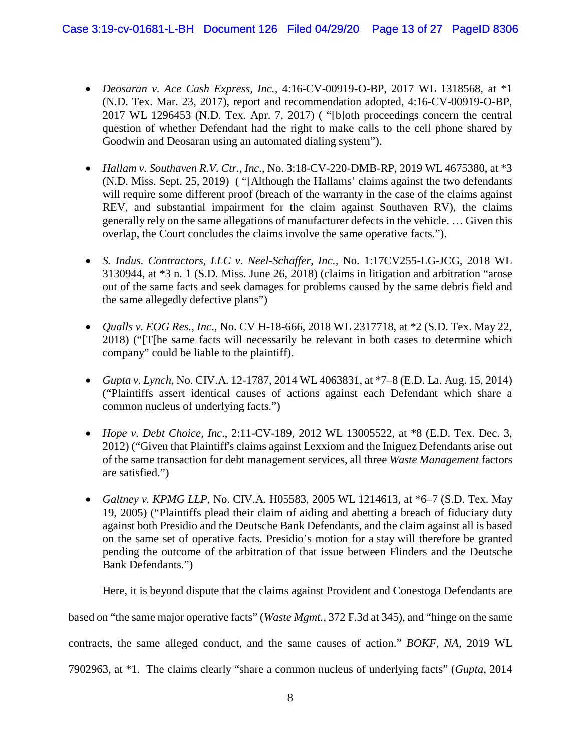- *Deosaran v. Ace Cash Express, Inc.,* 4:16-CV-00919-O-BP, 2017 WL 1318568, at \*1 (N.D. Tex. Mar. 23, 2017), report and recommendation adopted, 4:16-CV-00919-O-BP, 2017 WL 1296453 (N.D. Tex. Apr. 7, 2017) ( "[b]oth proceedings concern the central question of whether Defendant had the right to make calls to the cell phone shared by Goodwin and Deosaran using an automated dialing system").
- *Hallam v. Southaven R.V. Ctr., Inc*., No. 3:18-CV-220-DMB-RP, 2019 WL 4675380, at \*3 (N.D. Miss. Sept. 25, 2019) ( "[Although the Hallams' claims against the two defendants will require some different proof (breach of the warranty in the case of the claims against REV, and substantial impairment for the claim against Southaven RV), the claims generally rely on the same allegations of manufacturer defects in the vehicle. … Given this overlap, the Court concludes the claims involve the same operative facts.").
- *S. Indus. Contractors, LLC v. Neel-Schaffer, Inc.,* No. 1:17CV255-LG-JCG, 2018 WL 3130944, at \*3 n. 1 (S.D. Miss. June 26, 2018) (claims in litigation and arbitration "arose out of the same facts and seek damages for problems caused by the same debris field and the same allegedly defective plans")
- *Qualls v. EOG Res., Inc*., No. CV H-18-666, 2018 WL 2317718, at \*2 (S.D. Tex. May 22, 2018) ("[T[he same facts will necessarily be relevant in both cases to determine which company" could be liable to the plaintiff).
- *Gupta v. Lynch,* No. CIV.A. 12-1787, 2014 WL 4063831, at \*7–8 (E.D. La. Aug. 15, 2014) ("Plaintiffs assert identical causes of actions against each Defendant which share a common nucleus of underlying facts.")
- *Hope v. Debt Choice, Inc*., 2:11-CV-189, 2012 WL 13005522, at \*8 (E.D. Tex. Dec. 3, 2012) ("Given that Plaintiff's claims against Lexxiom and the Iniguez Defendants arise out of the same transaction for debt management services, all three *Waste Management* factors are satisfied.")
- *Galtney v. KPMG LLP,* No. CIV.A. H05583, 2005 WL 1214613, at \*6–7 (S.D. Tex. May 19, 2005) ("Plaintiffs plead their claim of aiding and abetting a breach of fiduciary duty against both Presidio and the Deutsche Bank Defendants, and the claim against all is based on the same set of operative facts. Presidio's motion for a stay will therefore be granted pending the outcome of the arbitration of that issue between Flinders and the Deutsche Bank Defendants.")

Here, it is beyond dispute that the claims against Provident and Conestoga Defendants are based on "the same major operative facts" (*Waste Mgmt.,* 372 F.3d at 345), and "hinge on the same contracts, the same alleged conduct, and the same causes of action." *BOKF, NA*, 2019 WL 7902963, at \*1. The claims clearly "share a common nucleus of underlying facts" (*Gupta*, 2014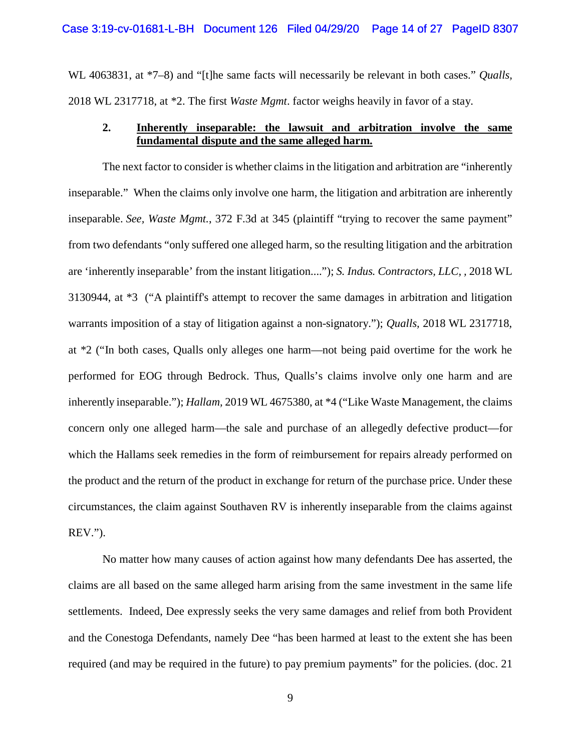WL 4063831, at \*7–8) and "[t]he same facts will necessarily be relevant in both cases." *Qualls,* 2018 WL 2317718, at \*2. The first *Waste Mgmt*. factor weighs heavily in favor of a stay.

## **2. Inherently inseparable: the lawsuit and arbitration involve the same fundamental dispute and the same alleged harm.**

The next factor to consider is whether claims in the litigation and arbitration are "inherently inseparable." When the claims only involve one harm, the litigation and arbitration are inherently inseparable. *See, Waste Mgmt.*, 372 F.3d at 345 (plaintiff "trying to recover the same payment" from two defendants "only suffered one alleged harm, so the resulting litigation and the arbitration are 'inherently inseparable' from the instant litigation...."); *S. Indus. Contractors, LLC, ,* 2018 WL 3130944, at \*3 ("A plaintiff's attempt to recover the same damages in arbitration and litigation warrants imposition of a stay of litigation against a non-signatory."); *Qualls,* 2018 WL 2317718, at \*2 ("In both cases, Qualls only alleges one harm—not being paid overtime for the work he performed for EOG through Bedrock. Thus, Qualls's claims involve only one harm and are inherently inseparable."); *Hallam,* 2019 WL 4675380, at \*4 ("Like Waste Management, the claims concern only one alleged harm—the sale and purchase of an allegedly defective product—for which the Hallams seek remedies in the form of reimbursement for repairs already performed on the product and the return of the product in exchange for return of the purchase price. Under these circumstances, the claim against Southaven RV is inherently inseparable from the claims against REV.").

No matter how many causes of action against how many defendants Dee has asserted, the claims are all based on the same alleged harm arising from the same investment in the same life settlements. Indeed, Dee expressly seeks the very same damages and relief from both Provident and the Conestoga Defendants, namely Dee "has been harmed at least to the extent she has been required (and may be required in the future) to pay premium payments" for the policies. (doc. 21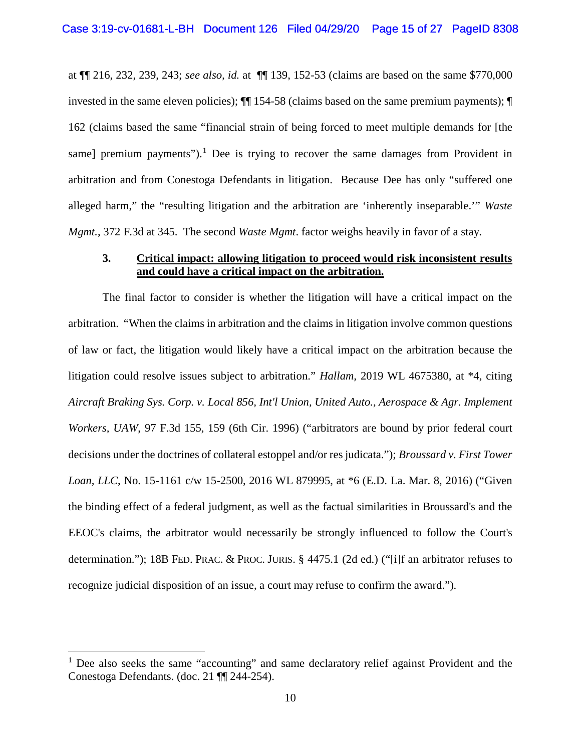at ¶¶ 216, 232, 239, 243; *see also, id.* at ¶¶ 139, 152-53 (claims are based on the same \$770,000 invested in the same eleven policies); ¶¶ 154-58 (claims based on the same premium payments); ¶ 162 (claims based the same "financial strain of being forced to meet multiple demands for [the same] premium payments").<sup>[1](#page-14-0)</sup> Dee is trying to recover the same damages from Provident in arbitration and from Conestoga Defendants in litigation. Because Dee has only "suffered one alleged harm," the "resulting litigation and the arbitration are 'inherently inseparable.'" *Waste Mgmt.*, 372 F.3d at 345. The second *Waste Mgmt*. factor weighs heavily in favor of a stay.

## **3. Critical impact: allowing litigation to proceed would risk inconsistent results and could have a critical impact on the arbitration.**

The final factor to consider is whether the litigation will have a critical impact on the arbitration. "When the claims in arbitration and the claims in litigation involve common questions of law or fact, the litigation would likely have a critical impact on the arbitration because the litigation could resolve issues subject to arbitration." *Hallam,* 2019 WL 4675380, at \*4, citing *Aircraft Braking Sys. Corp. v. Local 856, Int'l Union, United Auto., Aerospace & Agr. Implement Workers, UAW*, 97 F.3d 155, 159 (6th Cir. 1996) ("arbitrators are bound by prior federal court decisions under the doctrines of collateral estoppel and/or res judicata."); *Broussard v. First Tower Loan, LLC*, No. 15-1161 c/w 15-2500, 2016 WL 879995, at \*6 (E.D. La. Mar. 8, 2016) ("Given the binding effect of a federal judgment, as well as the factual similarities in Broussard's and the EEOC's claims, the arbitrator would necessarily be strongly influenced to follow the Court's determination."); 18B FED. PRAC. & PROC. JURIS. § 4475.1 (2d ed.) ("[i]f an arbitrator refuses to recognize judicial disposition of an issue, a court may refuse to confirm the award.").

<span id="page-14-0"></span> $1$  Dee also seeks the same "accounting" and same declaratory relief against Provident and the Conestoga Defendants. (doc. 21 ¶¶ 244-254).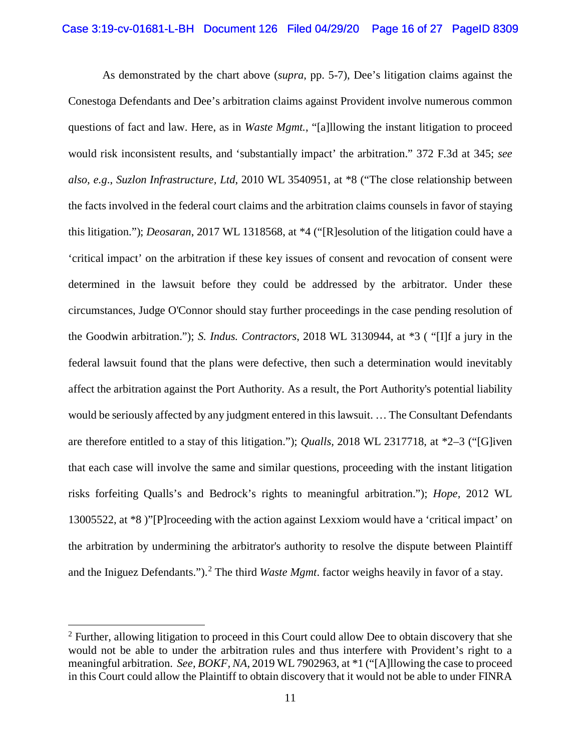As demonstrated by the chart above (*supra*, pp. 5-7), Dee's litigation claims against the Conestoga Defendants and Dee's arbitration claims against Provident involve numerous common questions of fact and law. Here, as in *Waste Mgmt.*, "[a]llowing the instant litigation to proceed would risk inconsistent results, and 'substantially impact' the arbitration." 372 F.3d at 345; *see also, e.g*., *Suzlon Infrastructure, Ltd*, 2010 WL 3540951, at \*8 ("The close relationship between the facts involved in the federal court claims and the arbitration claims counsels in favor of staying this litigation."); *Deosaran*, 2017 WL 1318568, at \*4 ("[R]esolution of the litigation could have a 'critical impact' on the arbitration if these key issues of consent and revocation of consent were determined in the lawsuit before they could be addressed by the arbitrator. Under these circumstances, Judge O'Connor should stay further proceedings in the case pending resolution of the Goodwin arbitration."); *S. Indus. Contractors*, 2018 WL 3130944, at \*3 ( "[I]f a jury in the federal lawsuit found that the plans were defective, then such a determination would inevitably affect the arbitration against the Port Authority. As a result, the Port Authority's potential liability would be seriously affected by any judgment entered in this lawsuit. … The Consultant Defendants are therefore entitled to a stay of this litigation."); *Qualls,* 2018 WL 2317718, at \*2–3 ("[G]iven that each case will involve the same and similar questions, proceeding with the instant litigation risks forfeiting Qualls's and Bedrock's rights to meaningful arbitration."); *Hope,* 2012 WL 13005522, at \*8 )"[P]roceeding with the action against Lexxiom would have a 'critical impact' on the arbitration by undermining the arbitrator's authority to resolve the dispute between Plaintiff and the Iniguez Defendants.").<sup>[2](#page-15-0)</sup> The third *Waste Mgmt*. factor weighs heavily in favor of a stay.

<span id="page-15-0"></span> $2$  Further, allowing litigation to proceed in this Court could allow Dee to obtain discovery that she would not be able to under the arbitration rules and thus interfere with Provident's right to a meaningful arbitration. *See, BOKF, NA*, 2019 WL 7902963, at \*1 ("[A]llowing the case to proceed in this Court could allow the Plaintiff to obtain discovery that it would not be able to under FINRA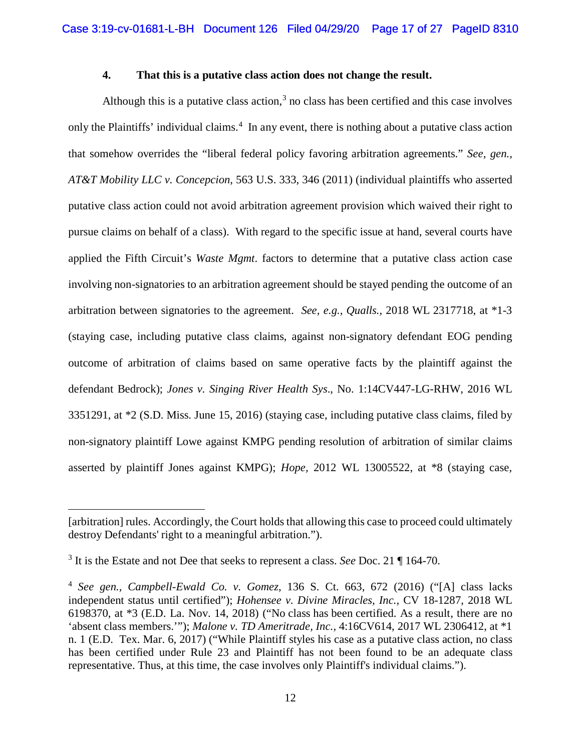## **4. That this is a putative class action does not change the result.**

Although this is a putative class action, $3$  no class has been certified and this case involves only the Plaintiffs' individual claims.<sup>[4](#page-16-1)</sup> In any event, there is nothing about a putative class action that somehow overrides the "liberal federal policy favoring arbitration agreements." *See, gen., AT&T Mobility LLC v. Concepcion*, 563 U.S. 333, 346 (2011) (individual plaintiffs who asserted putative class action could not avoid arbitration agreement provision which waived their right to pursue claims on behalf of a class). With regard to the specific issue at hand, several courts have applied the Fifth Circuit's *Waste Mgmt*. factors to determine that a putative class action case involving non-signatories to an arbitration agreement should be stayed pending the outcome of an arbitration between signatories to the agreement. *See, e.g., Qualls.,* 2018 WL 2317718, at \*1-3 (staying case, including putative class claims, against non-signatory defendant EOG pending outcome of arbitration of claims based on same operative facts by the plaintiff against the defendant Bedrock); *Jones v. Singing River Health Sys*., No. 1:14CV447-LG-RHW, 2016 WL 3351291, at \*2 (S.D. Miss. June 15, 2016) (staying case, including putative class claims, filed by non-signatory plaintiff Lowe against KMPG pending resolution of arbitration of similar claims asserted by plaintiff Jones against KMPG); *Hope,* 2012 WL 13005522, at \*8 (staying case,

 $\overline{a}$ 

<sup>[</sup>arbitration] rules. Accordingly, the Court holds that allowing this case to proceed could ultimately destroy Defendants' right to a meaningful arbitration.").

<span id="page-16-0"></span><sup>3</sup> It is the Estate and not Dee that seeks to represent a class. *See* Doc. 21 ¶ 164-70.

<span id="page-16-1"></span><sup>4</sup> *See gen., Campbell-Ewald Co. v. Gomez,* 136 S. Ct. 663, 672 (2016) ("[A] class lacks independent status until certified"); *Hohensee v. Divine Miracles, Inc.,* CV 18-1287, 2018 WL 6198370, at \*3 (E.D. La. Nov. 14, 2018) ("No class has been certified. As a result, there are no 'absent class members.'"); *Malone v. TD Ameritrade, Inc.,* 4:16CV614, 2017 WL 2306412, at \*1 n. 1 (E.D. Tex. Mar. 6, 2017) ("While Plaintiff styles his case as a putative class action, no class has been certified under Rule 23 and Plaintiff has not been found to be an adequate class representative. Thus, at this time, the case involves only Plaintiff's individual claims.").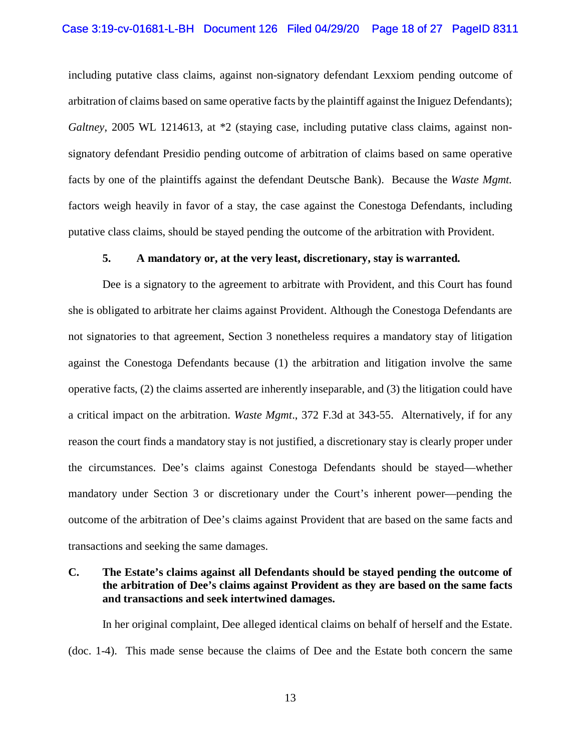## Case 3:19-cv-01681-L-BH Document 126 Filed 04/29/20 Page 18 of 27 PageID 8311

including putative class claims, against non-signatory defendant Lexxiom pending outcome of arbitration of claims based on same operative facts by the plaintiff against the Iniguez Defendants); *Galtney*, 2005 WL 1214613, at  $*2$  (staying case, including putative class claims, against nonsignatory defendant Presidio pending outcome of arbitration of claims based on same operative facts by one of the plaintiffs against the defendant Deutsche Bank). Because the *Waste Mgmt.* factors weigh heavily in favor of a stay, the case against the Conestoga Defendants, including putative class claims, should be stayed pending the outcome of the arbitration with Provident.

#### **5. A mandatory or, at the very least, discretionary, stay is warranted.**

Dee is a signatory to the agreement to arbitrate with Provident, and this Court has found she is obligated to arbitrate her claims against Provident. Although the Conestoga Defendants are not signatories to that agreement, Section 3 nonetheless requires a mandatory stay of litigation against the Conestoga Defendants because (1) the arbitration and litigation involve the same operative facts, (2) the claims asserted are inherently inseparable, and (3) the litigation could have a critical impact on the arbitration. *Waste Mgmt*., 372 F.3d at 343-55. Alternatively, if for any reason the court finds a mandatory stay is not justified, a discretionary stay is clearly proper under the circumstances. Dee's claims against Conestoga Defendants should be stayed—whether mandatory under Section 3 or discretionary under the Court's inherent power—pending the outcome of the arbitration of Dee's claims against Provident that are based on the same facts and transactions and seeking the same damages.

## **C. The Estate's claims against all Defendants should be stayed pending the outcome of the arbitration of Dee's claims against Provident as they are based on the same facts and transactions and seek intertwined damages.**

In her original complaint, Dee alleged identical claims on behalf of herself and the Estate. (doc. 1-4). This made sense because the claims of Dee and the Estate both concern the same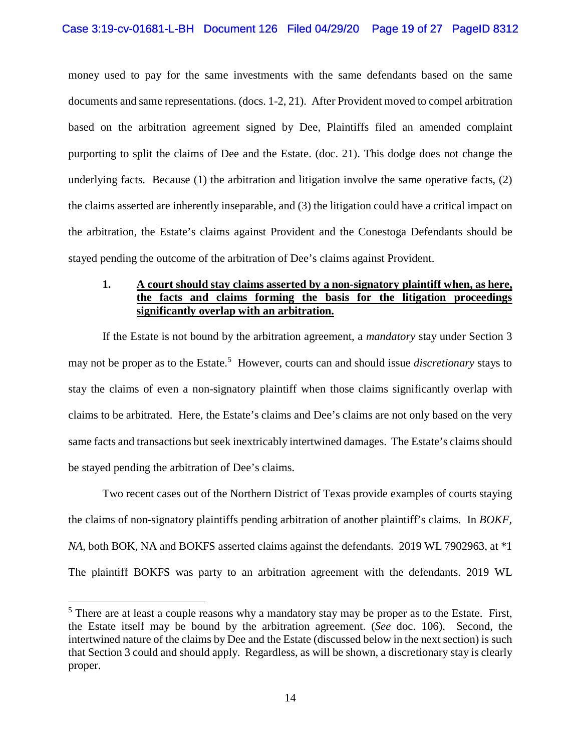money used to pay for the same investments with the same defendants based on the same documents and same representations. (docs. 1-2, 21). After Provident moved to compel arbitration based on the arbitration agreement signed by Dee, Plaintiffs filed an amended complaint purporting to split the claims of Dee and the Estate. (doc. 21). This dodge does not change the underlying facts. Because  $(1)$  the arbitration and litigation involve the same operative facts,  $(2)$ the claims asserted are inherently inseparable, and (3) the litigation could have a critical impact on the arbitration, the Estate's claims against Provident and the Conestoga Defendants should be stayed pending the outcome of the arbitration of Dee's claims against Provident.

## **1. A court should stay claims asserted by a non-signatory plaintiff when, as here, the facts and claims forming the basis for the litigation proceedings significantly overlap with an arbitration.**

If the Estate is not bound by the arbitration agreement, a *mandatory* stay under Section 3 may not be proper as to the Estate.<sup>[5](#page-18-0)</sup> However, courts can and should issue *discretionary* stays to stay the claims of even a non-signatory plaintiff when those claims significantly overlap with claims to be arbitrated. Here, the Estate's claims and Dee's claims are not only based on the very same facts and transactions but seek inextricably intertwined damages. The Estate's claims should be stayed pending the arbitration of Dee's claims.

Two recent cases out of the Northern District of Texas provide examples of courts staying the claims of non-signatory plaintiffs pending arbitration of another plaintiff's claims. In *BOKF, NA*, both BOK, NA and BOKFS asserted claims against the defendants. 2019 WL 7902963, at \*1 The plaintiff BOKFS was party to an arbitration agreement with the defendants. 2019 WL

<span id="page-18-0"></span><sup>&</sup>lt;sup>5</sup> There are at least a couple reasons why a mandatory stay may be proper as to the Estate. First, the Estate itself may be bound by the arbitration agreement. (*See* doc. 106). Second, the intertwined nature of the claims by Dee and the Estate (discussed below in the next section) is such that Section 3 could and should apply. Regardless, as will be shown, a discretionary stay is clearly proper.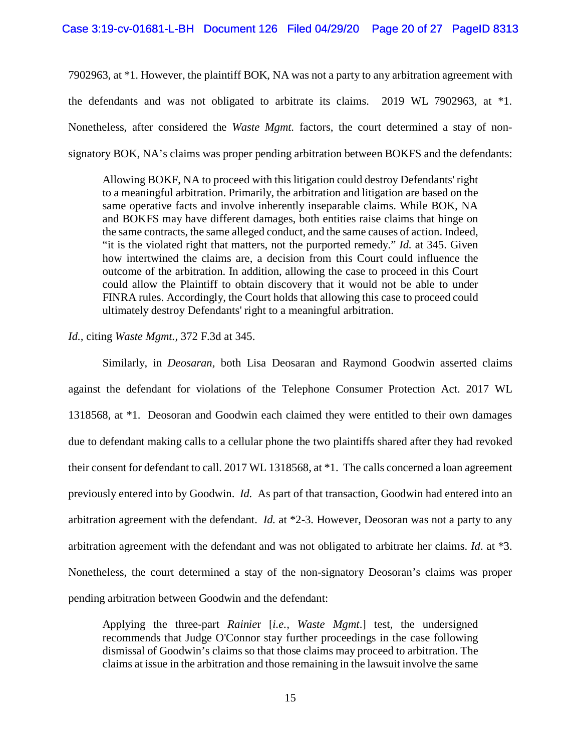7902963, at \*1. However, the plaintiff BOK, NA was not a party to any arbitration agreement with the defendants and was not obligated to arbitrate its claims. 2019 WL 7902963, at \*1. Nonetheless, after considered the *Waste Mgmt.* factors, the court determined a stay of nonsignatory BOK, NA's claims was proper pending arbitration between BOKFS and the defendants:

Allowing BOKF, NA to proceed with this litigation could destroy Defendants' right to a meaningful arbitration. Primarily, the arbitration and litigation are based on the same operative facts and involve inherently inseparable claims. While BOK, NA and BOKFS may have different damages, both entities raise claims that hinge on the same contracts, the same alleged conduct, and the same causes of action. Indeed, "it is the violated right that matters, not the purported remedy." *Id.* at 345. Given how intertwined the claims are, a decision from this Court could influence the outcome of the arbitration. In addition, allowing the case to proceed in this Court could allow the Plaintiff to obtain discovery that it would not be able to under FINRA rules. Accordingly, the Court holds that allowing this case to proceed could ultimately destroy Defendants' right to a meaningful arbitration.

*Id.,* citing *Waste Mgmt.,* 372 F.3d at 345.

Similarly, in *Deosaran,* both Lisa Deosaran and Raymond Goodwin asserted claims against the defendant for violations of the Telephone Consumer Protection Act. 2017 WL 1318568, at \*1. Deosoran and Goodwin each claimed they were entitled to their own damages due to defendant making calls to a cellular phone the two plaintiffs shared after they had revoked their consent for defendant to call. 2017 WL 1318568, at \*1. The calls concerned a loan agreement previously entered into by Goodwin. *Id.* As part of that transaction, Goodwin had entered into an arbitration agreement with the defendant. *Id.* at \*2-3. However, Deosoran was not a party to any arbitration agreement with the defendant and was not obligated to arbitrate her claims. *Id*. at \*3. Nonetheless, the court determined a stay of the non-signatory Deosoran's claims was proper pending arbitration between Goodwin and the defendant:

Applying the three-part *Rainie*r [*i.e., Waste Mgmt*.] test, the undersigned recommends that Judge O'Connor stay further proceedings in the case following dismissal of Goodwin's claims so that those claims may proceed to arbitration. The claims at issue in the arbitration and those remaining in the lawsuit involve the same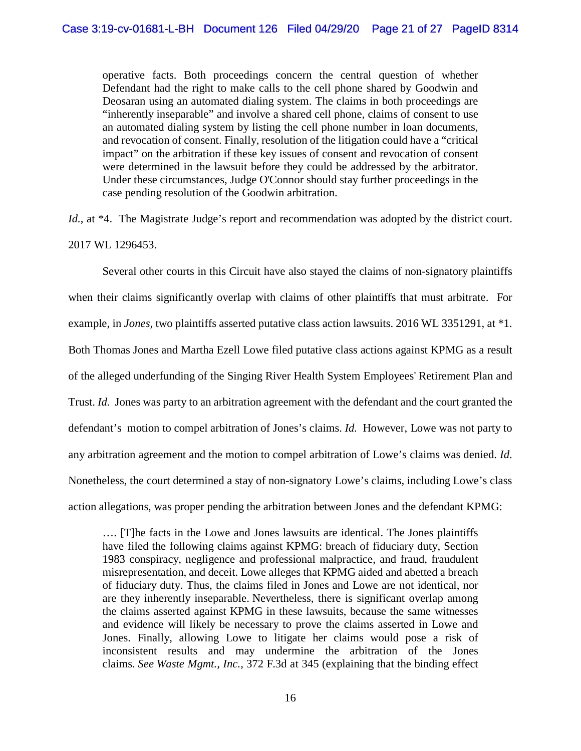operative facts. Both proceedings concern the central question of whether Defendant had the right to make calls to the cell phone shared by Goodwin and Deosaran using an automated dialing system. The claims in both proceedings are "inherently inseparable" and involve a shared cell phone, claims of consent to use an automated dialing system by listing the cell phone number in loan documents, and revocation of consent. Finally, resolution of the litigation could have a "critical impact" on the arbitration if these key issues of consent and revocation of consent were determined in the lawsuit before they could be addressed by the arbitrator. Under these circumstances, Judge O'Connor should stay further proceedings in the case pending resolution of the Goodwin arbitration.

Id., at \*4. The Magistrate Judge's report and recommendation was adopted by the district court. 2017 WL 1296453.

Several other courts in this Circuit have also stayed the claims of non-signatory plaintiffs when their claims significantly overlap with claims of other plaintiffs that must arbitrate. For example, in *Jones,* two plaintiffs asserted putative class action lawsuits. 2016 WL 3351291, at \*1. Both Thomas Jones and Martha Ezell Lowe filed putative class actions against KPMG as a result of the alleged underfunding of the Singing River Health System Employees' Retirement Plan and Trust. *Id.* Jones was party to an arbitration agreement with the defendant and the court granted the defendant's motion to compel arbitration of Jones's claims. *Id.* However, Lowe was not party to any arbitration agreement and the motion to compel arbitration of Lowe's claims was denied. *Id*. Nonetheless, the court determined a stay of non-signatory Lowe's claims, including Lowe's class action allegations, was proper pending the arbitration between Jones and the defendant KPMG:

…. [T]he facts in the Lowe and Jones lawsuits are identical. The Jones plaintiffs have filed the following claims against KPMG: breach of fiduciary duty, Section 1983 conspiracy, negligence and professional malpractice, and fraud, fraudulent misrepresentation, and deceit. Lowe alleges that KPMG aided and abetted a breach of fiduciary duty. Thus, the claims filed in Jones and Lowe are not identical, nor are they inherently inseparable. Nevertheless, there is significant overlap among the claims asserted against KPMG in these lawsuits, because the same witnesses and evidence will likely be necessary to prove the claims asserted in Lowe and Jones. Finally, allowing Lowe to litigate her claims would pose a risk of inconsistent results and may undermine the arbitration of the Jones claims. *See Waste Mgmt., Inc.*, 372 F.3d at 345 (explaining that the binding effect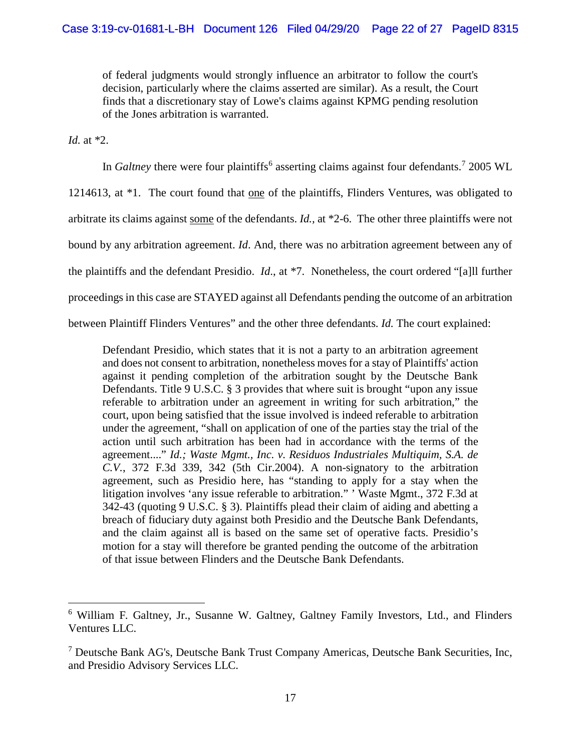of federal judgments would strongly influence an arbitrator to follow the court's decision, particularly where the claims asserted are similar). As a result, the Court finds that a discretionary stay of Lowe's claims against KPMG pending resolution of the Jones arbitration is warranted.

*Id.* at \*2.

In *Galtney* there were four plaintiffs<sup>[6](#page-21-0)</sup> asserting claims against four defendants.<sup>[7](#page-21-1)</sup> 2005 WL

1214613, at \*1. The court found that one of the plaintiffs, Flinders Ventures, was obligated to arbitrate its claims against some of the defendants. *Id.,* at \*2-6. The other three plaintiffs were not bound by any arbitration agreement. *Id*. And, there was no arbitration agreement between any of the plaintiffs and the defendant Presidio. *Id*., at \*7. Nonetheless, the court ordered "[a]ll further proceedings in this case are STAYED against all Defendants pending the outcome of an arbitration between Plaintiff Flinders Ventures" and the other three defendants. *Id.* The court explained:

Defendant Presidio, which states that it is not a party to an arbitration agreement and does not consent to arbitration, nonetheless moves for a stay of Plaintiffs' action against it pending completion of the arbitration sought by the Deutsche Bank Defendants. Title 9 U.S.C. § 3 provides that where suit is brought "upon any issue referable to arbitration under an agreement in writing for such arbitration," the court, upon being satisfied that the issue involved is indeed referable to arbitration under the agreement, "shall on application of one of the parties stay the trial of the action until such arbitration has been had in accordance with the terms of the agreement...." *Id.; Waste Mgmt., Inc. v. Residuos Industriales Multiquim, S.A. de C.V.*, 372 F.3d 339, 342 (5th Cir.2004). A non-signatory to the arbitration agreement, such as Presidio here, has "standing to apply for a stay when the litigation involves 'any issue referable to arbitration." ' Waste Mgmt., 372 F.3d at 342-43 (quoting 9 U.S.C. § 3). Plaintiffs plead their claim of aiding and abetting a breach of fiduciary duty against both Presidio and the Deutsche Bank Defendants, and the claim against all is based on the same set of operative facts. Presidio's motion for a stay will therefore be granted pending the outcome of the arbitration of that issue between Flinders and the Deutsche Bank Defendants.

<span id="page-21-0"></span> <sup>6</sup> William F. Galtney, Jr., Susanne W. Galtney, Galtney Family Investors, Ltd., and Flinders Ventures LLC.

<span id="page-21-1"></span><sup>7</sup> Deutsche Bank AG's, Deutsche Bank Trust Company Americas, Deutsche Bank Securities, Inc, and Presidio Advisory Services LLC.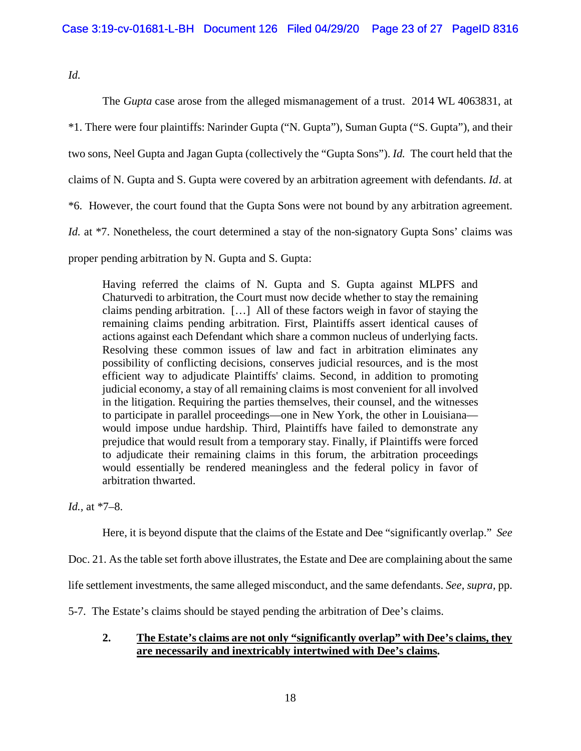*Id.* 

The *Gupta* case arose from the alleged mismanagement of a trust. 2014 WL 4063831, at \*1. There were four plaintiffs: Narinder Gupta ("N. Gupta"), Suman Gupta ("S. Gupta"), and their two sons, Neel Gupta and Jagan Gupta (collectively the "Gupta Sons"). *Id.* The court held that the claims of N. Gupta and S. Gupta were covered by an arbitration agreement with defendants. *Id*. at \*6. However, the court found that the Gupta Sons were not bound by any arbitration agreement. *Id.* at \*7. Nonetheless, the court determined a stay of the non-signatory Gupta Sons' claims was

proper pending arbitration by N. Gupta and S. Gupta:

Having referred the claims of N. Gupta and S. Gupta against MLPFS and Chaturvedi to arbitration, the Court must now decide whether to stay the remaining claims pending arbitration. […] All of these factors weigh in favor of staying the remaining claims pending arbitration. First, Plaintiffs assert identical causes of actions against each Defendant which share a common nucleus of underlying facts. Resolving these common issues of law and fact in arbitration eliminates any possibility of conflicting decisions, conserves judicial resources, and is the most efficient way to adjudicate Plaintiffs' claims. Second, in addition to promoting judicial economy, a stay of all remaining claims is most convenient for all involved in the litigation. Requiring the parties themselves, their counsel, and the witnesses to participate in parallel proceedings—one in New York, the other in Louisiana would impose undue hardship. Third, Plaintiffs have failed to demonstrate any prejudice that would result from a temporary stay. Finally, if Plaintiffs were forced to adjudicate their remaining claims in this forum, the arbitration proceedings would essentially be rendered meaningless and the federal policy in favor of arbitration thwarted.

*Id.,* at \*7–8.

Here, it is beyond dispute that the claims of the Estate and Dee "significantly overlap." *See*

Doc. 21. As the table set forth above illustrates, the Estate and Dee are complaining about the same

life settlement investments, the same alleged misconduct, and the same defendants. *See*, *supra,* pp.

5-7. The Estate's claims should be stayed pending the arbitration of Dee's claims.

## **2. The Estate's claims are not only "significantly overlap" with Dee's claims, they are necessarily and inextricably intertwined with Dee's claims.**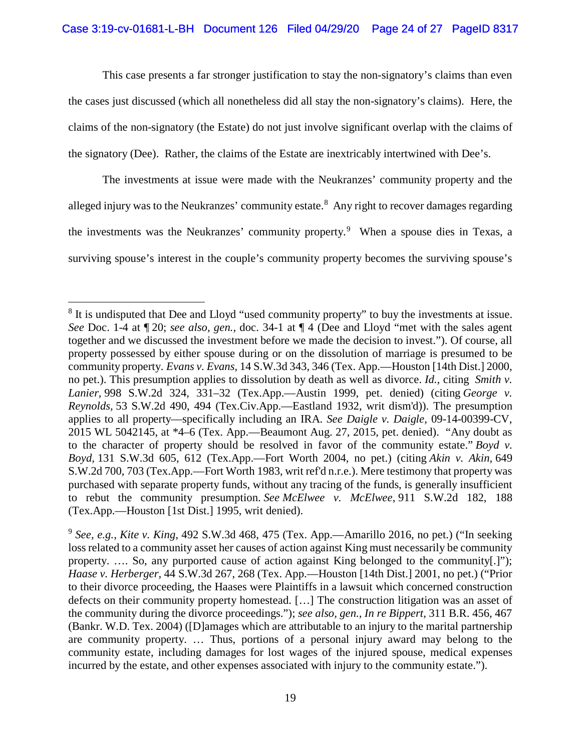This case presents a far stronger justification to stay the non-signatory's claims than even the cases just discussed (which all nonetheless did all stay the non-signatory's claims). Here, the claims of the non-signatory (the Estate) do not just involve significant overlap with the claims of the signatory (Dee). Rather, the claims of the Estate are inextricably intertwined with Dee's.

The investments at issue were made with the Neukranzes' community property and the alleged injury was to the Neukranzes' community estate.<sup>[8](#page-23-0)</sup> Any right to recover damages regarding the investments was the Neukranzes' community property.<sup>[9](#page-23-1)</sup> When a spouse dies in Texas, a surviving spouse's interest in the couple's community property becomes the surviving spouse's

<span id="page-23-0"></span><sup>&</sup>lt;sup>8</sup> It is undisputed that Dee and Lloyd "used community property" to buy the investments at issue. *See* Doc. 1-4 at ¶ 20; *see also, gen.,* doc. 34-1 at ¶ 4 (Dee and Lloyd "met with the sales agent together and we discussed the investment before we made the decision to invest."). Of course, all property possessed by either spouse during or on the dissolution of marriage is presumed to be community property. *Evans v. Evans,* 14 S.W.3d 343, 346 (Tex. App.—Houston [14th Dist.] 2000, no pet.). This presumption applies to dissolution by death as well as divorce. *Id.,* citing *Smith v. Lanier,* 998 S.W.2d 324, 331–32 (Tex.App.—Austin 1999, pet. denied) (citing *George v. Reynolds,* 53 S.W.2d 490, 494 (Tex.Civ.App.—Eastland 1932, writ dism'd)). The presumption applies to all property—specifically including an IRA. *See Daigle v. Daigle,* 09-14-00399-CV, 2015 WL 5042145, at \*4–6 (Tex. App.—Beaumont Aug. 27, 2015, pet. denied). "Any doubt as to the character of property should be resolved in favor of the community estate." *Boyd v. Boyd,* 131 S.W.3d 605, 612 (Tex.App.—Fort Worth 2004, no pet.) (citing *Akin v. Akin,* 649 S.W.2d 700, 703 (Tex.App.—Fort Worth 1983, writ ref'd n.r.e.). Mere testimony that property was purchased with separate property funds, without any tracing of the funds, is generally insufficient to rebut the community presumption. *See McElwee v. McElwee,* 911 S.W.2d 182, 188 (Tex.App.—Houston [1st Dist.] 1995, writ denied).

<span id="page-23-1"></span><sup>9</sup> *See, e.g., Kite v. King,* 492 S.W.3d 468, 475 (Tex. App.—Amarillo 2016, no pet.) ("In seeking loss related to a community asset her causes of action against King must necessarily be community property. …. So, any purported cause of action against King belonged to the community[.]"); *Haase v. Herberger,* 44 S.W.3d 267, 268 (Tex. App.—Houston [14th Dist.] 2001, no pet.) ("Prior to their divorce proceeding, the Haases were Plaintiffs in a lawsuit which concerned construction defects on their community property homestead. […] The construction litigation was an asset of the community during the divorce proceedings."); *see also, gen., In re Bippert,* 311 B.R. 456, 467 (Bankr. W.D. Tex. 2004) ([D]amages which are attributable to an injury to the marital partnership are community property. … Thus, portions of a personal injury award may belong to the community estate, including damages for lost wages of the injured spouse, medical expenses incurred by the estate, and other expenses associated with injury to the community estate.").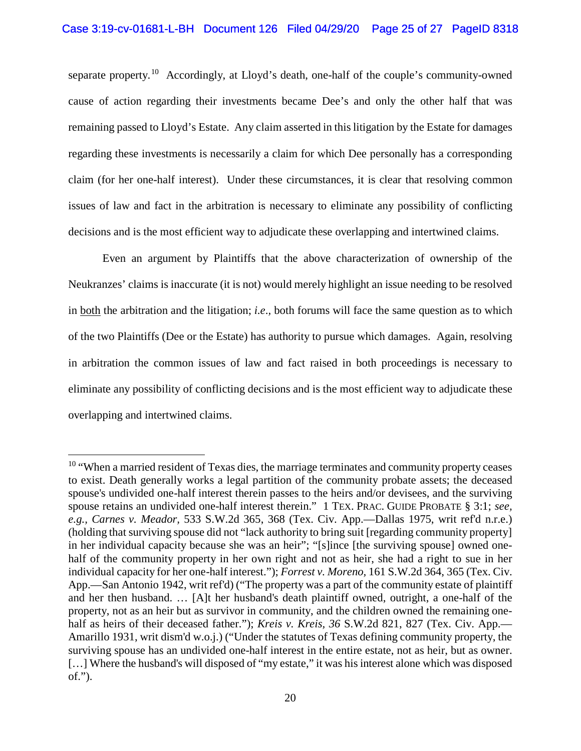separate property.<sup>[10](#page-24-0)</sup> Accordingly, at Lloyd's death, one-half of the couple's community-owned cause of action regarding their investments became Dee's and only the other half that was remaining passed to Lloyd's Estate. Any claim asserted in this litigation by the Estate for damages regarding these investments is necessarily a claim for which Dee personally has a corresponding claim (for her one-half interest). Under these circumstances, it is clear that resolving common issues of law and fact in the arbitration is necessary to eliminate any possibility of conflicting decisions and is the most efficient way to adjudicate these overlapping and intertwined claims.

Even an argument by Plaintiffs that the above characterization of ownership of the Neukranzes' claims is inaccurate (it is not) would merely highlight an issue needing to be resolved in both the arbitration and the litigation; *i.e*.*,* both forums will face the same question as to which of the two Plaintiffs (Dee or the Estate) has authority to pursue which damages. Again, resolving in arbitration the common issues of law and fact raised in both proceedings is necessary to eliminate any possibility of conflicting decisions and is the most efficient way to adjudicate these overlapping and intertwined claims.

<span id="page-24-0"></span> $10$  "When a married resident of Texas dies, the marriage terminates and community property ceases to exist. Death generally works a legal partition of the community probate assets; the deceased spouse's undivided one-half interest therein passes to the heirs and/or devisees, and the surviving spouse retains an undivided one-half interest therein." 1 TEX. PRAC. GUIDE PROBATE § 3:1; *see, e.g., Carnes v. Meador,* 533 S.W.2d 365, 368 (Tex. Civ. App.—Dallas 1975, writ ref'd n.r.e.) (holding that surviving spouse did not "lack authority to bring suit [regarding community property] in her individual capacity because she was an heir"; "[s]ince [the surviving spouse] owned onehalf of the community property in her own right and not as heir, she had a right to sue in her individual capacity for her one-half interest."); *Forrest v. Moreno,* 161 S.W.2d 364, 365 (Tex. Civ. App.—San Antonio 1942, writ ref'd) ("The property was a part of the community estate of plaintiff and her then husband. … [A]t her husband's death plaintiff owned, outright, a one-half of the property, not as an heir but as survivor in community, and the children owned the remaining onehalf as heirs of their deceased father."); *Kreis v. Kreis, 36* S.W.2d 821, 827 (Tex. Civ. App.— Amarillo 1931, writ dism'd w.o.j.) ("Under the statutes of Texas defining community property, the surviving spouse has an undivided one-half interest in the entire estate, not as heir, but as owner. [...] Where the husband's will disposed of "my estate," it was his interest alone which was disposed of.").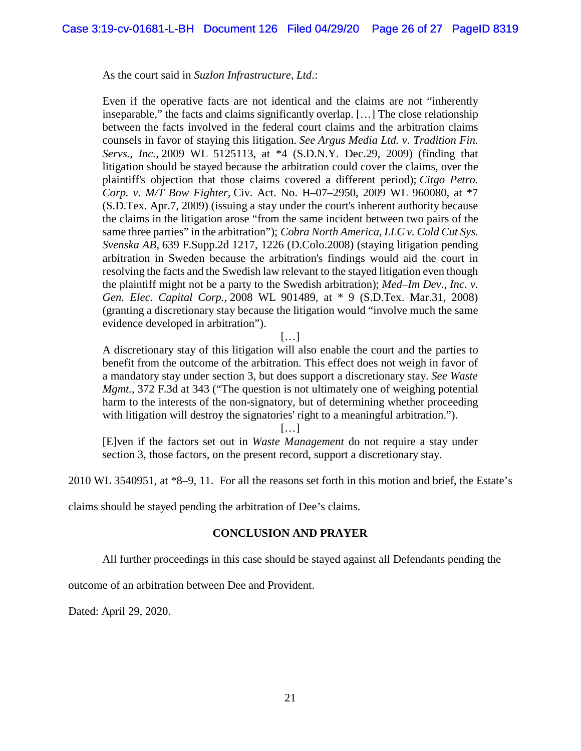As the court said in *Suzlon Infrastructure, Ltd*.:

Even if the operative facts are not identical and the claims are not "inherently inseparable," the facts and claims significantly overlap. […] The close relationship between the facts involved in the federal court claims and the arbitration claims counsels in favor of staying this litigation. *See Argus Media Ltd. v. Tradition Fin. Servs., Inc.,* 2009 WL 5125113, at \*4 (S.D.N.Y. Dec.29, 2009) (finding that litigation should be stayed because the arbitration could cover the claims, over the plaintiff's objection that those claims covered a different period); *Citgo Petro. Corp. v. M/T Bow Fighter,* Civ. Act. No. H–07–2950, 2009 WL 960080, at \*7 (S.D.Tex. Apr.7, 2009) (issuing a stay under the court's inherent authority because the claims in the litigation arose "from the same incident between two pairs of the same three parties" in the arbitration"); *Cobra North America, LLC v. Cold Cut Sys. Svenska AB,* 639 F.Supp.2d 1217, 1226 (D.Colo.2008) (staying litigation pending arbitration in Sweden because the arbitration's findings would aid the court in resolving the facts and the Swedish law relevant to the stayed litigation even though the plaintiff might not be a party to the Swedish arbitration); *Med–Im Dev., Inc. v. Gen. Elec. Capital Corp.,* 2008 WL 901489, at \* 9 (S.D.Tex. Mar.31, 2008) (granting a discretionary stay because the litigation would "involve much the same evidence developed in arbitration").

[…]

A discretionary stay of this litigation will also enable the court and the parties to benefit from the outcome of the arbitration. This effect does not weigh in favor of a mandatory stay under section 3, but does support a discretionary stay. *See Waste Mgmt.,* 372 F.3d at 343 ("The question is not ultimately one of weighing potential harm to the interests of the non-signatory, but of determining whether proceeding with litigation will destroy the signatories' right to a meaningful arbitration.").

 $[\ldots]$ 

[E]ven if the factors set out in *Waste Management* do not require a stay under section 3, those factors, on the present record, support a discretionary stay.

2010 WL 3540951, at \*8–9, 11. For all the reasons set forth in this motion and brief, the Estate's

claims should be stayed pending the arbitration of Dee's claims.

## **CONCLUSION AND PRAYER**

All further proceedings in this case should be stayed against all Defendants pending the

outcome of an arbitration between Dee and Provident.

Dated: April 29, 2020.